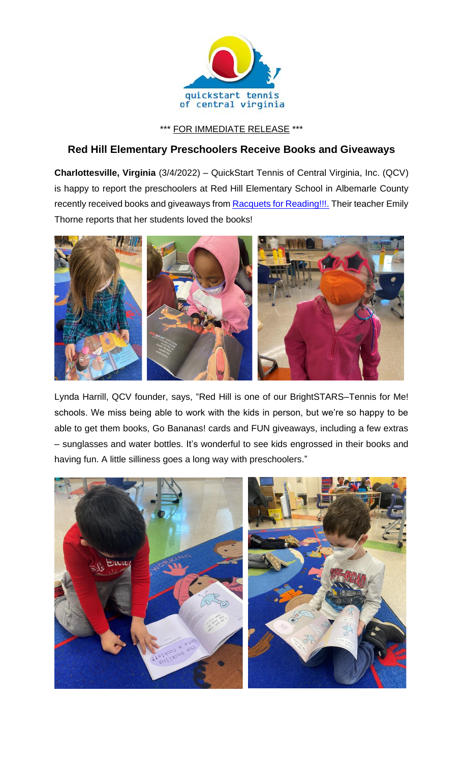

\*\*\* FOR IMMEDIATE RELEASE \*\*\*

## **Red Hill Elementary Preschoolers Receive Books and Giveaways**

**Charlottesville, Virginia** (3/4/2022) – QuickStart Tennis of Central Virginia, Inc. (QCV) is happy to report the preschoolers at Red Hill Elementary School in Albemarle County recently received books and giveaways from **Racquets for Reading!!!**. Their teacher Emily Thorne reports that her students loved the books!



Lynda Harrill, QCV founder, says, "Red Hill is one of our BrightSTARS–Tennis for Me! schools. We miss being able to work with the kids in person, but we're so happy to be able to get them books, Go Bananas! cards and FUN giveaways, including a few extras – sunglasses and water bottles. It's wonderful to see kids engrossed in their books and having fun. A little silliness goes a long way with preschoolers."